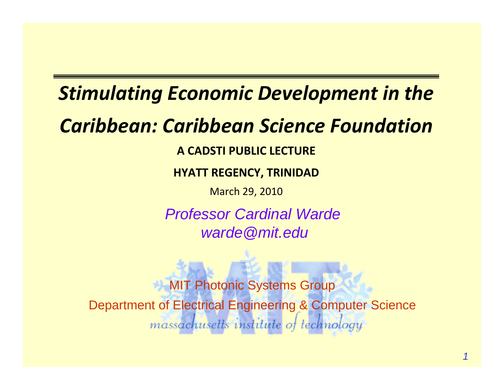## *Stimulating Economic Development in the*

## *Caribbean: Caribbean Science Foundation*

**A CADSTI PUBLIC LECTURE**

**HYATT REGENCY, TRINIDAD**

March 29, 2010

*Professor Cardinal Wardewarde@mit.edu*

**MIT Photonic Systems Group** Department of Electrical Engineering & Computer Sciencemassachusetts institute of technology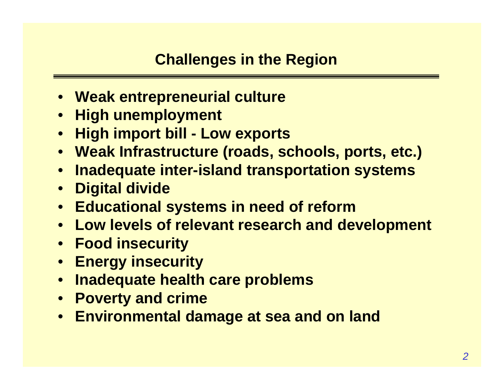- **Weak entrepreneurial culture**
- $\bullet$ **High unemployment**
- $\bullet$ **High import bill - Low exports**
- $\bullet$ **Weak Infrastructure (roads, schools, ports, etc.)**
- $\bullet$ **Inadequate inter-island transportation systems**
- $\bullet$ **Digital divide**
- $\bullet$ **Educational systems in need of reform**
- **Low levels of relevant research and development**
- $\bullet$ **Food insecurity**
- $\bullet$ **Energy insecurity**
- $\bullet$ **Inadequate health care problems**
- $\bullet$ **Poverty and crime**
- **Environmental damage at sea and on land**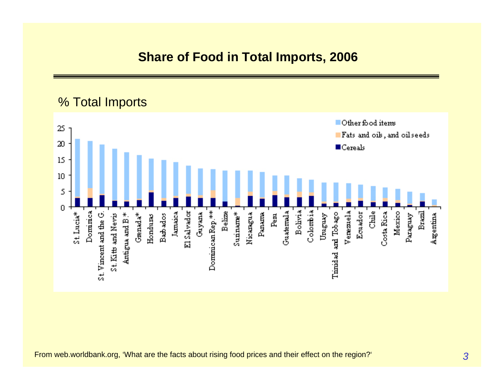% Total ImportsOther food items  $25\,$ Fats and oils, and oilseeds  $20$  $\blacksquare$  Cereals 15  $10$  $\overline{5}$  $\overline{0}$ **Chile** Mexico Dominea<br>Dominea Dominican Rep.\*\* **Belize** Panama **Guatemala** Bolivia Colombia **Brazil** St. Vincent and the G. Jamaica El Salvador  $S$ unnarne $*$ Nicamgua Timidad and Tobago Verezuela Ecuador Costa Rica Gayana  $Pem$ Umguay St. Lucia\* Grenada<sup>\*</sup> Paraguay Argentina St. Kitts and Nevis Antigua and B.\* Hondums Bath ados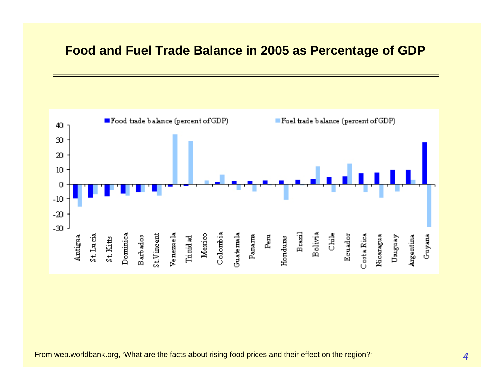

From web.worldbank.org, 'What are the facts about rising food prices and their effect on the region?'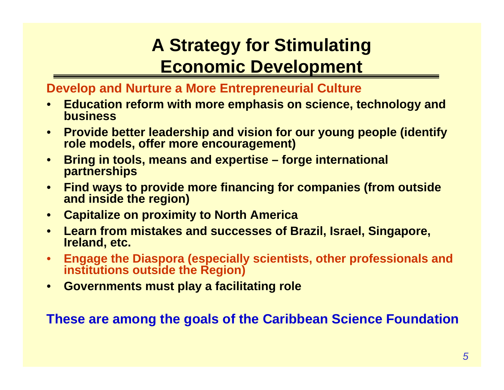### **A Strategy for Stimulating Economic Development**

#### **Develop and Nurture a More Entrepreneurial Culture**

- $\bullet$  **Education reform with more emphasis on science, technology and business**
- $\bullet$  **Provide better leadership and vision for our young people (identify role models, offer more encouragement)**
- $\bullet$  **Bring in tools, means and expertise – forge international partnerships**
- $\bullet$  **Find ways to provide more financing for companies (from outside and inside the region)**
- $\bullet$ **Capitalize on proximity to North America**
- • **Learn from mistakes and successes of Brazil, Israel, Singapore, Ireland, etc.**
- • **Engage the Diaspora (especially scientists, other professionals and institutions outside the Region)**
- •**Governments must play a facilitating role**

#### **These are among the goals of the Caribbean Science Foundation**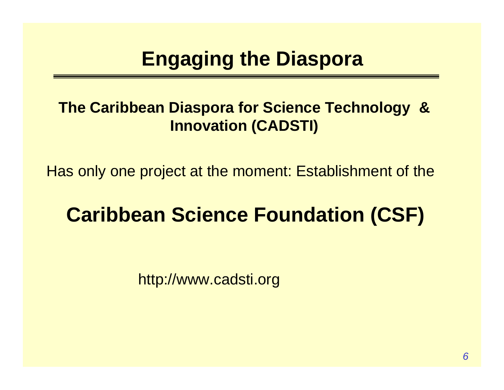## **Engaging the Diaspora**

#### **The Caribbean Diaspora for Science Technology & Innovation (CADSTI)**

Has only one project at the moment: Establishment of the

## **Caribbean Science Foundation (CSF)**

http://www.cadsti.org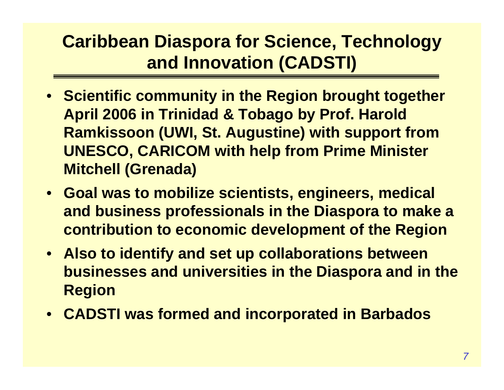### **Caribbean Diaspora for Science, Technology and Innovation (CADSTI)**

- **Scientific community in the Region brought together April 2006 in Trinidad & Tobago by Prof. Harold Ramkissoon (UWI, St. Augustine) with support from UNESCO, CARICOM with help from Prime Minister Mitchell (Grenada)**
- **Goal was to mobilize scientists, engineers, medical and business professionals in the Diaspora to make a contribution to economic development of the Region**
- **Also to identify and set up collaborations between businesses and universities in the Diaspora and in the Region**
- **CADSTI was formed and incorporated in Barbados**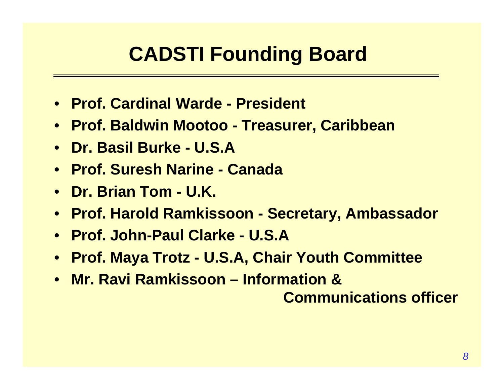## **CADSTI Founding Board**

- **Prof. Cardinal Warde - President**
- **Prof. Baldwin Mootoo - Treasurer, Caribbean**
- **Dr. Basil Burke - U.S.A**
- **Prof. Suresh Narine - Canada**
- **Dr. Brian Tom - U.K.**
- **Prof. Harold Ramkissoon - Secretary, Ambassador**
- **Prof. John-Paul Clarke - U.S.A**
- **Prof. Maya Trotz - U.S.A, Chair Youth Committee**
- **Mr. Ravi Ramkissoon – Information & Communications officer**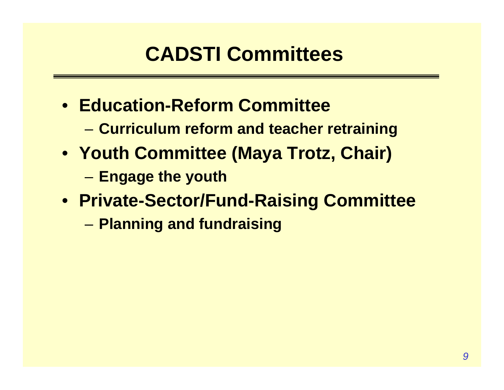## **CADSTI Committees**

- **Education-Reform Committee**
	- **Little Controller Curriculum reform and teacher retraining**
- **Youth Committee (Maya Trotz, Chair)**
	- –**Engage the youth**
- **Private-Sector/Fund-Raising Committee**
	- and the state of the state **Planning and fundraising**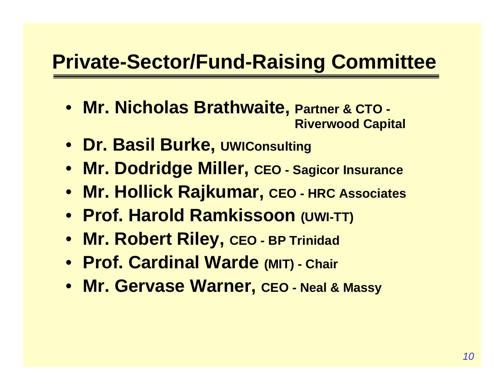## **Private-Sector/Fund-Raising Committee**

- **Mr. Nicholas Brathwaite, Partner & CTO - Riverwood Capital**
- **Dr. Basil Burke, UWIConsulting**
- **Mr. Dodridge Miller, CEO - Sagicor Insurance**
- **Mr. Hollick Rajkumar, CEO - HRC Associates**
- **Prof. Harold Ramkissoon (UWI-TT)**
- **Mr. Robert Riley, CEO - BP Trinidad**
- **Prof. Cardinal Warde (MIT) - Chair**
- **Mr. Gervase Warner, CEO - Neal & Massy**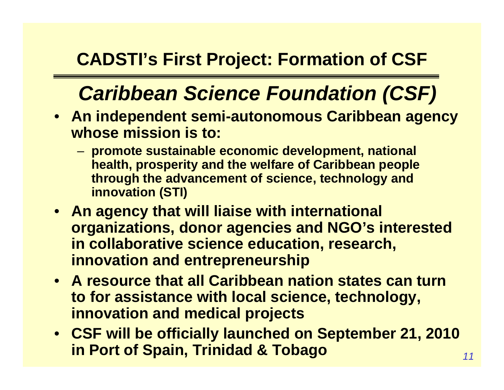### **CADSTI's First Project: Formation of CSF**

## *Caribbean Science Foundation (CSF)*

- **An independent semi-autonomous Caribbean agency whose mission is to:**
	- **promote sustainable economic development, national health, prosperity and the welfare of Caribbean people through the advancement of science, technology and innovation (STI)**
- **An agency that will liaise with international organizations, donor agencies and NGO's interested in collaborative science education, research, innovation and entrepreneurship**
- **A resource that all Caribbean nation states can turn to for assistance with local science, technology, innovation and medical projects**
- **CSF will be officially launched on September 21, 2010 in Port of Spain, Trinidad & Tobago**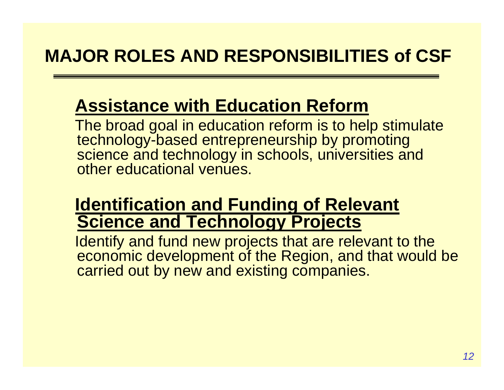### **Assistance with Education Reform**

The broad goal in education reform is to help stimulate technology-based entrepreneurship by promoting science and technology in schools, universities and other educational venties.

#### **Identification and Funding of Relevant Science and Technology Projects**

Identify and fund new projects that are relevant to the economic development of the Region, and that would be carried out by new and existing companies.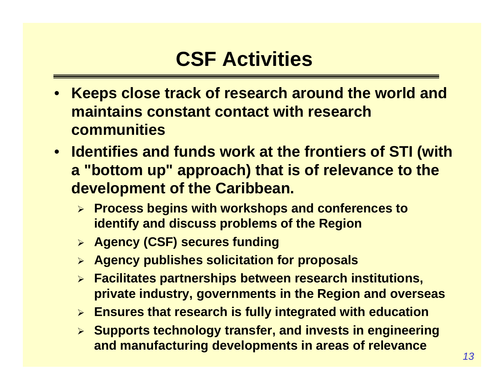## **CSF Activities**

- • **Keeps close track of research around the world and maintains constant contact with research communities**
- **Identifies and funds work at the frontiers of STI (with <sup>a</sup>"bottom up" approach) that is of relevance to the development of the Caribbean.**
	- ¾ **Process begins with workshops and conferences to identify and discuss problems of the Region**
	- ¾ **Agency (CSF) secures funding**
	- ¾ **Agency publishes solicitation for proposals**
	- ¾ **Facilitates partnerships between research institutions, private industry, governments in the Region and overseas**
	- ¾ **Ensures that research is fully integrated with education**
	- ¾ **Supports technology transfer, and invests in engineering and manufacturing developments in areas of relevance**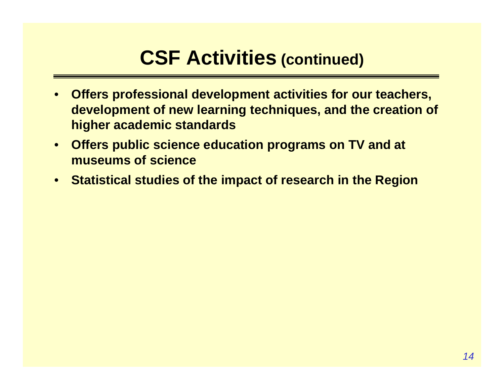## **CSF Activities (continued)**

- • **Offers professional development activities for our teachers, development of new learning techniques, and the creation of higher academic standards**
- **Offers public science education programs on TV and at museums of science**
- $\bullet$ **Statistical studies of the impact of research in the Region**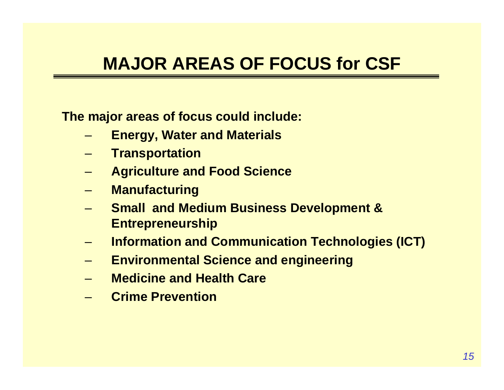### **MAJOR AREAS OF FOCUS for CSF**

**The major areas of focus could include:** 

- **Energy, Water and Materials**
- **Transportation**
- **Agriculture and Food Science**
- –**Manufacturing**
- **Small and Medium Business Development & Entrepreneurship**
- **Information and Communication Technologies (ICT)**
- **Environmental Science and engineering**
- **Medicine and Health Care**
- **Crime Prevention**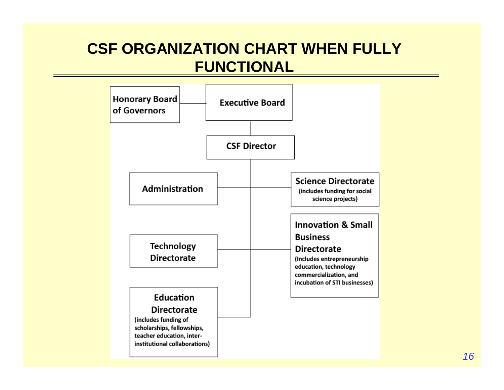#### **CSF ORGANIZATION CHART WHEN FULLY FUNCTIONAL**

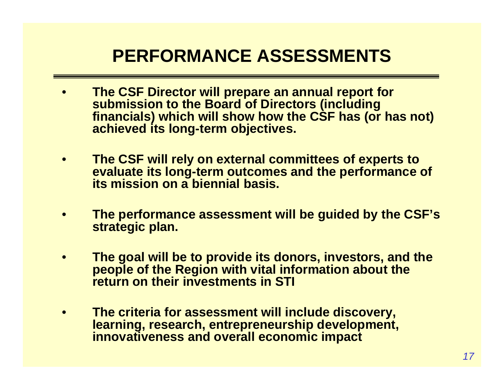### **PERFORMANCE ASSESSMENTS**

- • **The CSF Director will prepare an annual report for submission to the Board of Directors (including financials) which will show how the CSF has (or has not) achieved its long-term objectives.**
- $\bullet$  **The CSF will rely on external committees of experts to evaluate its long-term outcomes and the performance of its mission on a biennial basis.**
- • **The performance assessment will be guided by the CSF's strategic plan.**
- $\bullet$  **The goal will be to provide its donors, investors, and the people of the Region with vital information about the return on their investments in STI**
- • **The criteria for assessment will include discovery, learning, research, entrepreneurship development, innovativeness and overall economic impact**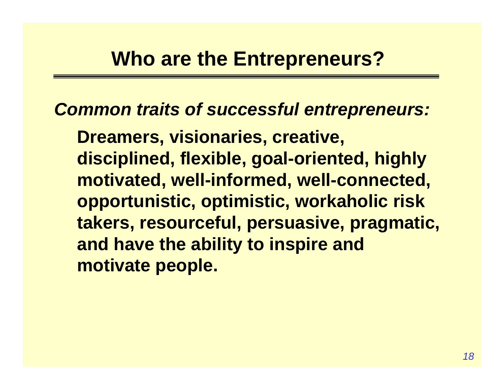*Common traits of successful entrepreneurs:* 

**Dreamers, visionaries, creative, disciplined, flexible, goal-oriented, highly motivated, well-informed, well-connected, opportunistic, optimistic, workaholic risk takers, resourceful, persuasive, pragmatic, and have the ability to inspire and motivate people.**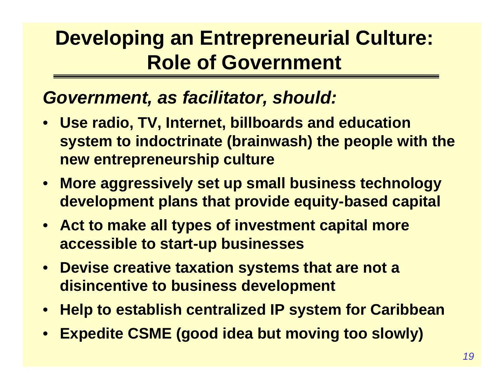## **Developing an Entrepreneurial Culture: Role of Government**

#### *Government, as facilitator, should:*

- **Use radio, TV, Internet, billboards and education system to indoctrinate (brainwash) the people with the new entrepreneurship culture**
- **More aggressively set up small business technology development plans that provide equity-based capital**
- **Act to make all types of investment capital more accessible to start-up businesses**
- **Devise creative taxation systems that are not a disincentive to business development**
- •**Help to establish centralized IP system for Caribbean**
- •**Expedite CSME (good idea but moving too slowly)**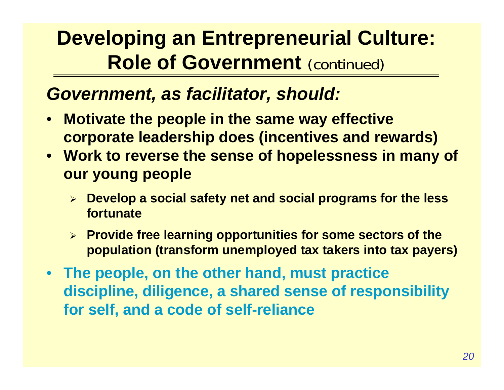## **Developing an Entrepreneurial Culture: Role of Government (continued)**

#### *Government, as facilitator, should:*

- $\bullet$  **Motivate the people in the same way effective corporate leadership does (incentives and rewards)**
- **Work to reverse the sense of hopelessness in many of our young people**
	- $\blacktriangleright$  **Develop a social safety net and social programs for the less fortunate**
	- ¾ **Provide free learning opportunities for some sectors of the population (transform unemployed tax takers into tax payers)**
- **The people, on the other hand, must practice discipline, diligence, a shared sense of responsibility for self, and a code of self-reliance**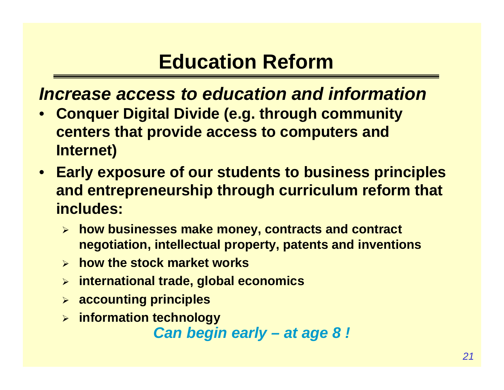## **Education Reform**

#### *Increase access to education and information*

- • **Conquer Digital Divide (e.g. through community centers that provide access to computers and Internet)**
- **Early exposure of our students to business principles and entrepreneurship through curriculum reform that includes:**
	- ¾ **how businesses make money, contracts and contract negotiation, intellectual property, patents and inventions**
	- ¾ **how the stock market works**
	- ¾ **international trade, global economics**
	- ¾ **accounting principles**
	- ¾ **information technology**

*Can begin early – at age 8 !*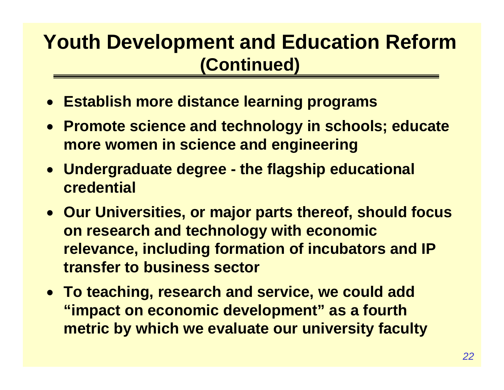## **Youth Development and Education Reform (Continued)**

- **Establish more distance learning programs**
- **Promote science and technology in schools; educate more women in science and engineering**
- **Undergraduate degree - the flagship educational credential**
- **Our Universities, or major parts thereof, should focus on research and technology with economic relevance, including formation of incubators and IP transfer to business sector**
- **To teaching, research and service, we could add "impact on economic development" as a fourth metric by which we evaluate our university faculty**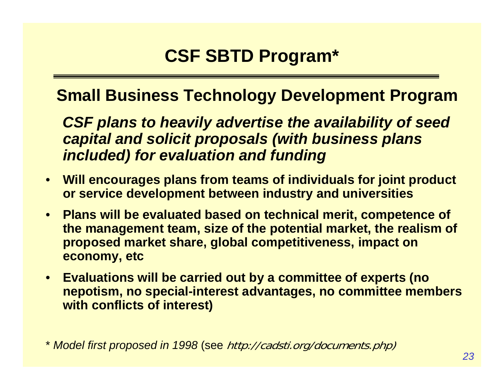#### **Small Business Technology Development Program**

*CSF plans to heavily advertise the availability of seed capital and solicit proposals (with business plans included) for evaluation and funding*

- • **Will encourages plans from teams of individuals for joint product or service development between industry and universities**
- $\bullet$  **Plans will be evaluated based on technical merit, competence of the management team, size of the potential market, the realism of proposed market share, global competitiveness, impact on economy, etc**
- • **Evaluations will be carried out by a committee of experts (no nepotism, no special-interest advantages, no committee members with conflicts of interest)**

\* *Model first proposed in 1998* (see http://cadsti.org/documents.php)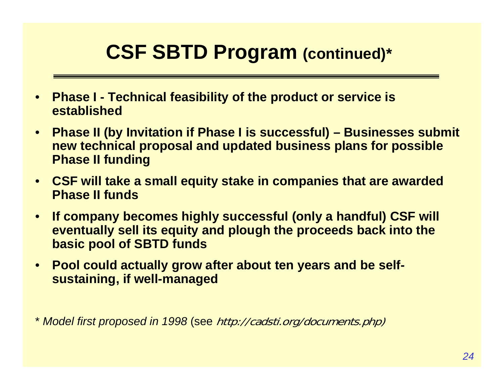## **CSF SBTD Program (continued)\***

- $\bullet$  **Phase I - Technical feasibility of the product or service is established**
- $\bullet$  **Phase II (by Invitation if Phase I is successful) – Businesses submit new technical proposal and updated business plans for possible Phase II funding**
- • **CSF will take a small equity stake in companies that are awarded Phase II funds**
- $\bullet$  **If company becomes highly successful (only a handful) CSF will eventually sell its equity and plough the proceeds back into the basic pool of SBTD funds**
- $\bullet$  **Pool could actually grow after about ten years and be selfsustaining, if well-managed**

\* *Model first proposed in 1998* (see http://cadsti.org/documents.php)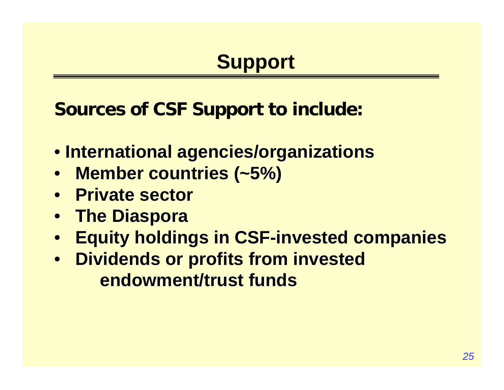## **Support**

**Sources of CSF Support to include:**

- **International agencies/organizations International agencies/organizations**
- Member countries (~5%)
- **Private sector**
- $\bullet$ **The Diaspora The Diaspora**
- $\bullet$ **Equity holdings in CSF-invested companies**
- **Dividends or profits from invested endowment/trust funds endowment/trust funds**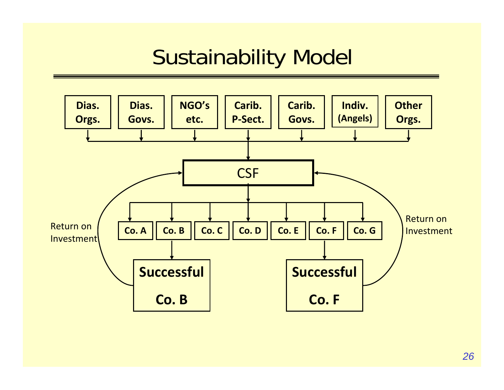# Sustainability Model

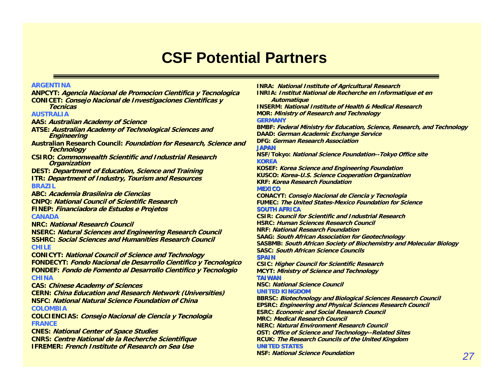#### **CSF Potential Partners**

#### **ARGENTINA**

**ANPCYT: Agencia Nacional de Promocion Cientifica y Tecnologica CONICET: Consejo Nacional de Investigaciones Cientificas y TecnicasAUSTRALIAAAS: Australian Academy of Science ATSE: Australian Academy of Technological Sciences and Engineering Australian Research Council: Foundation for Research, Science and Technology CSIRO: Commonwealth Scientific and Industrial Research Organization DEST: Department of Education, Science and Training ITR: Department of Industry, Tourism and Resources BRAZILABC: Academia Brasileira de CienciasCNPQ: National Council of Scientific ResearchFINEP: Financiadora de Estudos e Projetos CANADANRC: National Research CouncilNSERC: Natural Sciences and Engineering Research Council SSHRC: Social Sciences and Humanities Research CouncilCHILECONICYT: National Council of Science and Technology FONDECYT: Fondo Nacional de Desarrollo Cientifico y Tecnologico FONDEF: Fondo de Fomento al Desarrollo Cientifico y Tecnologio CHINACAS: Chinese Academy of Sciences CERN: China Education and Research Network (Universities) NSFC: National Natural Science Foundation of ChinaCOLOMBIACOLCIENCIAS: Consejo Nacional de Ciencia y Tecnologia FRANCECNES: National Center of Space Studies CNRS: Centre National de la Recherche Scientifique IFREMER: French Institute of Research on Sea Use**

**INRA: National Institute of Agricultural Research INRIA: Institut National de Recherche en Informatique et en Automatique INSERM: National Institute of Health & Medical ResearchMOR: Ministry of Research and Technology GERMANYBMBF: Federal Ministry for Education, Science, Research, and Technology DAAD: German Academic Exchange Service DFG: German Research AssociationJAPANNSF/Tokyo: National Science Foundation--Tokyo Office site KOREAKOSEF: Korea Science and Engineering Foundation KUSCO: Korea-U.S. Science Cooperation Organization KRF: Korea Research Foundation Korea Research Foundation MEXICOCONACYT: Consejo Nacional Nacionalde Ciencia y Tecnologia FUMEC: The United States-Mexico Foundation for ScienceSOUTH AFRICACSIR: Council for Scientific and Industrial ResearchHSRC: Human Sciences Research Council Human Research NRF: National Research Foundation SAAG: South African Association for Geotechnology SASBMB: South African Society of Biochemistry and Molecular Biology SASC: South African Science Councils SPAINCSIC: Higher Council for Scientific Research MCYT: Ministry of Science and Technology TAIWANNSC: National Science Council National Science CouncilUNITED KINGDOMBBRSC: Biotechnology and Biological Sciences Research Council Biotechnology and Biological Sciences Research Council EPSRC: Engineering and Physical Sciences Research Council ESRC: Economic and Social Research Council MRC: Medical Research Council Research CouncilNERC: Natural Environment Research Council Natural Environment Research CouncilOST: Office of Science and Technology--Related Sites RCUK: The Research Councils of the United Kingdom UNITED STATESNSF: National Science Foundation**